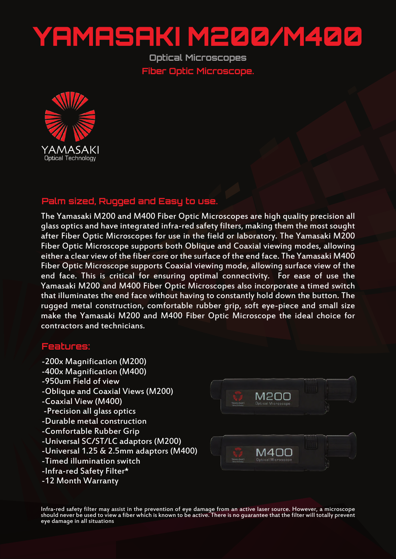## YAMASAKI M200/M400

**Optical Microscopes Fiber Optic Microscope.**



## **Palm sized, Rugged and Easy to use.**

The Yamasaki M200 and M400 Fiber Optic Microscopes are high quality precision all glass optics and have integrated infra-red safety filters, making them the most sought after Fiber Optic Microscopes for use in the field or laboratory. The Yamasaki M200 Fiber Optic Microscope supports both Oblique and Coaxial viewing modes, allowing either a clear view of the fiber core or the surface of the end face. The Yamasaki M400 Fiber Optic Microscope supports Coaxial viewing mode, allowing surface view of the end face. This is critical for ensuring optimal connectivity. For ease of use the Yamasaki M200 and M400 Fiber Optic Microscopes also incorporate a timed switch that illuminates the end face without having to constantly hold down the button. The rugged metal construction, comfortable rubber grip, soft eye-piece and small size make the Yamasaki M200 and M400 Fiber Optic Microscope the ideal choice for contractors and technicians.

## **Features:**

- -200x Magnification (M200)
- -400x Magnification (M400)
- -950um Field of view
- -Oblique and Coaxial Views (M200)
- -Coaxial View (M400)
- -Precision all glass optics
- -Durable metal construction
- -Comfortable Rubber Grip
- -Universal SC/ST/LC adaptors (M200)
- -Universal 1.25 & 2.5mm adaptors (M400)
- -Timed illumination switch
- -Infra-red Safety Filter\*
- -12 Month Warranty



Infra-red safety filter may assist in the prevention of eye damage from an active laser source. However, a microscope should never be used to view a fiber which is known to be active. There is no guarantee that the filter will totally prevent eye damage in all situations